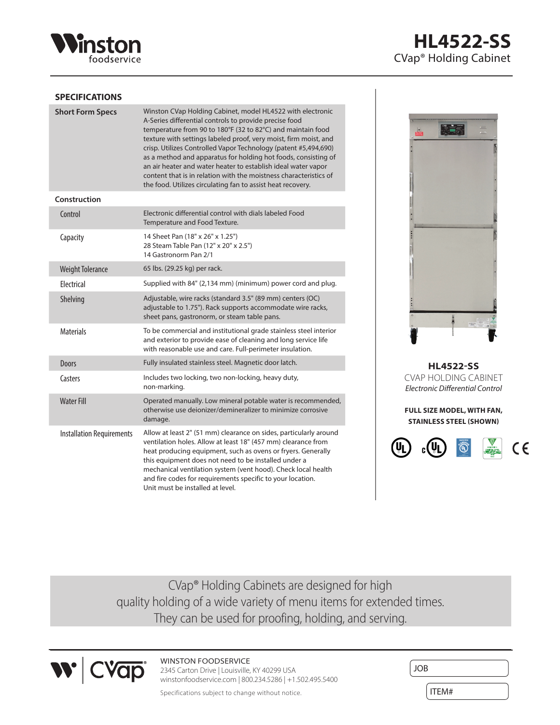

# **HL4522-SS** CVap® Holding Cabinet

#### **SPECIFICATIONS**

| <b>Short Form Specs</b>          | Winston CVap Holding Cabinet, model HL4522 with electronic<br>A-Series differential controls to provide precise food<br>temperature from 90 to 180°F (32 to 82°C) and maintain food<br>texture with settings labeled proof, very moist, firm moist, and<br>crisp. Utilizes Controlled Vapor Technology (patent #5,494,690)<br>as a method and apparatus for holding hot foods, consisting of<br>an air heater and water heater to establish ideal water vapor<br>content that is in relation with the moistness characteristics of<br>the food. Utilizes circulating fan to assist heat recovery. |
|----------------------------------|---------------------------------------------------------------------------------------------------------------------------------------------------------------------------------------------------------------------------------------------------------------------------------------------------------------------------------------------------------------------------------------------------------------------------------------------------------------------------------------------------------------------------------------------------------------------------------------------------|
| Construction                     |                                                                                                                                                                                                                                                                                                                                                                                                                                                                                                                                                                                                   |
| Control                          | Electronic differential control with dials labeled Food<br>Temperature and Food Texture.                                                                                                                                                                                                                                                                                                                                                                                                                                                                                                          |
| Capacity                         | 14 Sheet Pan (18" x 26" x 1.25")<br>28 Steam Table Pan (12" x 20" x 2.5")<br>14 Gastronorm Pan 2/1                                                                                                                                                                                                                                                                                                                                                                                                                                                                                                |
| <b>Weight Tolerance</b>          | 65 lbs. (29.25 kg) per rack.                                                                                                                                                                                                                                                                                                                                                                                                                                                                                                                                                                      |
| Flectrical                       | Supplied with 84" (2,134 mm) (minimum) power cord and plug.                                                                                                                                                                                                                                                                                                                                                                                                                                                                                                                                       |
| Shelving                         | Adjustable, wire racks (standard 3.5" (89 mm) centers (OC)<br>adjustable to 1.75"). Rack supports accommodate wire racks,<br>sheet pans, gastronorm, or steam table pans.                                                                                                                                                                                                                                                                                                                                                                                                                         |
| <b>Materials</b>                 | To be commercial and institutional grade stainless steel interior<br>and exterior to provide ease of cleaning and long service life<br>with reasonable use and care. Full-perimeter insulation.                                                                                                                                                                                                                                                                                                                                                                                                   |
| <b>Doors</b>                     | Fully insulated stainless steel. Magnetic door latch.                                                                                                                                                                                                                                                                                                                                                                                                                                                                                                                                             |
| Casters                          | Includes two locking, two non-locking, heavy duty,<br>non-marking.                                                                                                                                                                                                                                                                                                                                                                                                                                                                                                                                |
| <b>Water Fill</b>                | Operated manually. Low mineral potable water is recommended,<br>otherwise use deionizer/demineralizer to minimize corrosive<br>damage.                                                                                                                                                                                                                                                                                                                                                                                                                                                            |
| <b>Installation Requirements</b> | Allow at least 2" (51 mm) clearance on sides, particularly around<br>ventilation holes. Allow at least 18" (457 mm) clearance from<br>heat producing equipment, such as ovens or fryers. Generally<br>this equipment does not need to be installed under a<br>mechanical ventilation system (vent hood). Check local health<br>and fire codes for requirements specific to your location.<br>Unit must be installed at level.                                                                                                                                                                     |



**HL4522-SS** CVAP HOLDING CABINET *Electronic Differential Control*

**FULL SIZE MODEL, WITH FAN, STAINLESS STEEL (SHOWN)**



CVap® Holding Cabinets are designed for high quality holding of a wide variety of menu items for extended times. They can be used for proofing, holding, and serving.



## WINSTON FOODSERVICE

2345 Carton Drive | Louisville, KY 40299 USA winstonfoodservice.com | 800.234.5286 | +1.502.495.5400

Specifications subject to change without notice.

| <b>JOB</b> |  |
|------------|--|
|            |  |
| ITEM#      |  |